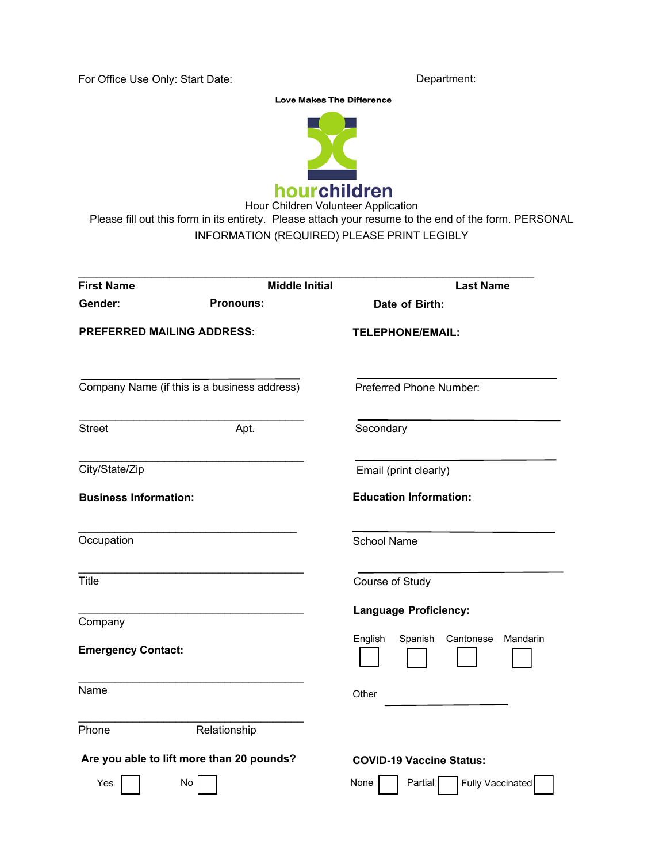For Office Use Only: Start Date: Department: Department:

**Love Makes The Difference** 



Hour Children Volunteer Application Please fill out this form in its entirety. Please attach your resume to the end of the form. PERSONAL INFORMATION (REQUIRED) PLEASE PRINT LEGIBLY

| <b>First Name</b>                            |                  | <b>Middle Initial</b> | <b>Last Name</b>                            |  |  |  |  |
|----------------------------------------------|------------------|-----------------------|---------------------------------------------|--|--|--|--|
| Gender:                                      | <b>Pronouns:</b> |                       | Date of Birth:                              |  |  |  |  |
| <b>PREFERRED MAILING ADDRESS:</b>            |                  |                       | <b>TELEPHONE/EMAIL:</b>                     |  |  |  |  |
| Company Name (if this is a business address) |                  |                       | <b>Preferred Phone Number:</b>              |  |  |  |  |
| <b>Street</b>                                | Apt.             |                       | Secondary                                   |  |  |  |  |
| City/State/Zip                               |                  |                       | Email (print clearly)                       |  |  |  |  |
| <b>Business Information:</b>                 |                  |                       | <b>Education Information:</b>               |  |  |  |  |
| Occupation                                   |                  |                       | <b>School Name</b>                          |  |  |  |  |
| Title                                        |                  |                       | Course of Study                             |  |  |  |  |
| Company                                      |                  |                       | <b>Language Proficiency:</b>                |  |  |  |  |
| <b>Emergency Contact:</b>                    |                  |                       | English<br>Spanish<br>Cantonese<br>Mandarin |  |  |  |  |
| Name                                         |                  |                       | Other                                       |  |  |  |  |
| Phone                                        | Relationship     |                       |                                             |  |  |  |  |
| Are you able to lift more than 20 pounds?    |                  |                       | <b>COVID-19 Vaccine Status:</b>             |  |  |  |  |
| Yes                                          | No               |                       | None<br>Partial<br><b>Fully Vaccinated</b>  |  |  |  |  |